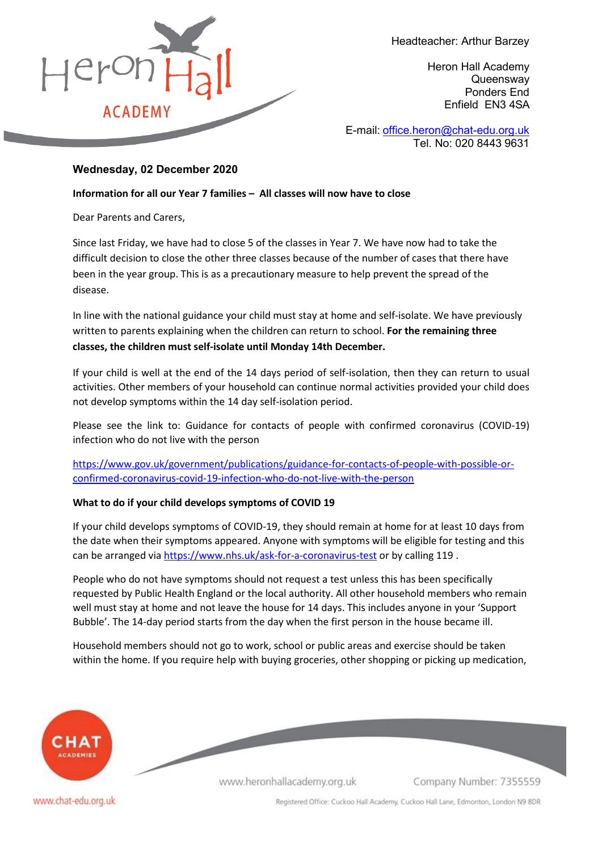

Headteacher: Arthur Barzey

Heron Hall Academy **Queensway** Ponders End Enfield EN3 4SA

E-mail: [office.heron@chat-edu.org.uk](mailto:office.heron@chat-edu.org.uk) Tel. No: 020 8443 9631

# **Wednesday, 02 December 2020**

**Information for all our Year 7 families – All classes will now have to close**

Dear Parents and Carers,

Since last Friday, we have had to close 5 of the classes in Year 7. We have now had to take the difficult decision to close the other three classes because of the number of cases that there have been in the year group. This is as a precautionary measure to help prevent the spread of the disease.

In line with the national guidance your child must stay at home and self-isolate. We have previously written to parents explaining when the children can return to school. **For the remaining three classes, the children must self-isolate until Monday 14th December.**

If your child is well at the end of the 14 days period of self-isolation, then they can return to usual activities. Other members of your household can continue normal activities provided your child does not develop symptoms within the 14 day self-isolation period.

Please see the link to: Guidance for contacts of people with confirmed coronavirus (COVID-19) infection who do not live with the person

[https://www.gov.uk/government/publications/guidance-for-contacts-of-people-with-possible-or](https://www.gov.uk/government/publications/guidance-for-contacts-of-people-with-possible-or-confirmed-coronavirus-covid-19-infection-who-do-not-live-with-the-person)[confirmed-coronavirus-covid-19-infection-who-do-not-live-with-the-person](https://www.gov.uk/government/publications/guidance-for-contacts-of-people-with-possible-or-confirmed-coronavirus-covid-19-infection-who-do-not-live-with-the-person)

## **What to do if your child develops symptoms of COVID 19**

If your child develops symptoms of COVID-19, they should remain at home for at least 10 days from the date when their symptoms appeared. Anyone with symptoms will be eligible for testing and this can be arranged via<https://www.nhs.uk/ask-for-a-coronavirus-test> or by calling 119 .

People who do not have symptoms should not request a test unless this has been specifically requested by Public Health England or the local authority. All other household members who remain well must stay at home and not leave the house for 14 days. This includes anyone in your 'Support Bubble'. The 14-day period starts from the day when the first person in the house became ill.

Household members should not go to work, school or public areas and exercise should be taken within the home. If you require help with buying groceries, other shopping or picking up medication,



www.heronhallacademy.org.uk

Company Number: 7355559

www.chat-edu.org.uk

Registered Office: Cuckoo Hall Academy, Cuckoo Hall Lane, Edmonton, London N9 8DR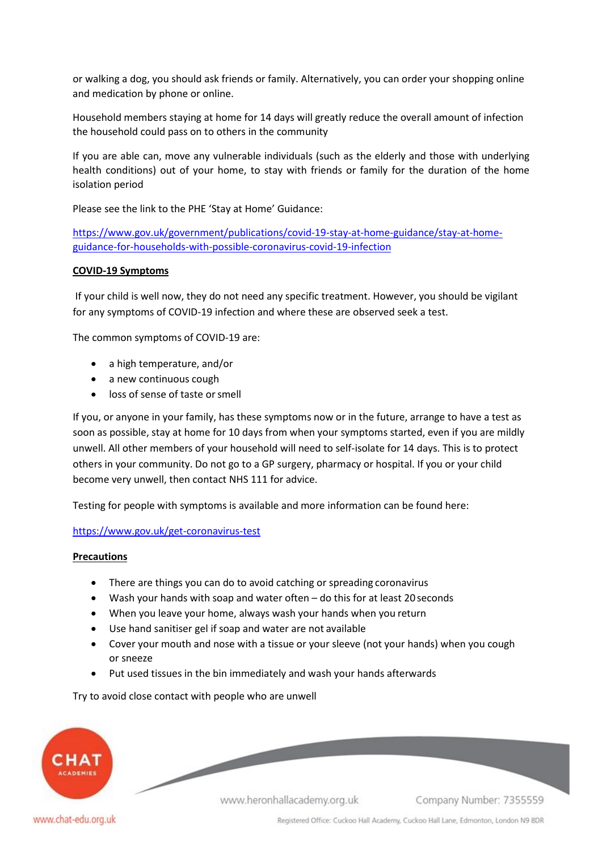or walking a dog, you should ask friends or family. Alternatively, you can order your shopping online and medication by phone or online.

Household members staying at home for 14 days will greatly reduce the overall amount of infection the household could pass on to others in the community

If you are able can, move any vulnerable individuals (such as the elderly and those with underlying health conditions) out of your home, to stay with friends or family for the duration of the home isolation period

Please see the link to the PHE 'Stay at Home' Guidance:

[https://www.gov.uk/government/publications/covid-19-stay-at-home-guidance/stay-at-home](https://www.gov.uk/government/publications/covid-19-stay-at-home-guidance/stay-at-home-guidance-for-households-with-possible-coronavirus-covid-19-infection)[guidance-for-households-with-possible-coronavirus-covid-19-infection](https://www.gov.uk/government/publications/covid-19-stay-at-home-guidance/stay-at-home-guidance-for-households-with-possible-coronavirus-covid-19-infection)

### **COVID-19 Symptoms**

If your child is well now, they do not need any specific treatment. However, you should be vigilant for any symptoms of COVID-19 infection and where these are observed seek a test.

The common symptoms of COVID-19 are:

- a high temperature, and/or
- a new continuous cough
- loss of sense of taste or smell

If you, or anyone in your family, has these symptoms now or in the future, arrange to have a test as soon as possible, stay at home for 10 days from when your symptoms started, even if you are mildly unwell. All other members of your household will need to self-isolate for 14 days. This is to protect others in your community. Do not go to a GP surgery, pharmacy or hospital. If you or your child become very unwell, then contact NHS 111 for advice.

Testing for people with symptoms is available and more information can be found here:

<https://www.gov.uk/get-coronavirus-test>

### **Precautions**

- There are things you can do to avoid catching or spreading coronavirus
- Wash your hands with soap and water often do this for at least 20 seconds
- When you leave your home, always wash your hands when you return
- Use hand sanitiser gel if soap and water are not available
- Cover your mouth and nose with a tissue or your sleeve (not your hands) when you cough or sneeze
- Put used tissues in the bin immediately and wash your hands afterwards

Try to avoid close contact with people who are unwell



www.heronhallacademy.org.uk

Company Number: 7355559

Registered Office: Cuckoo Hall Academy, Cuckoo Hall Lane, Edmonton, London N9 8DR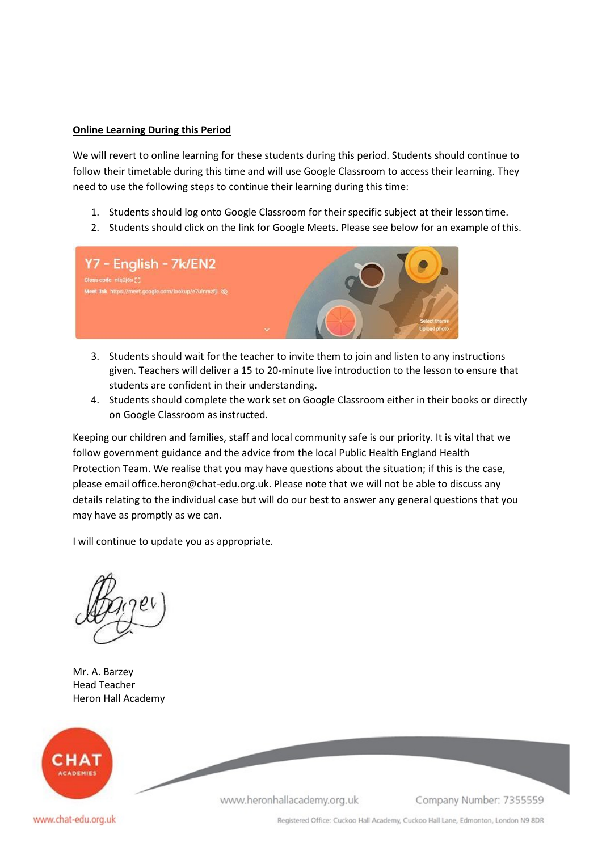#### **Online Learning During this Period**

We will revert to online learning for these students during this period. Students should continue to follow their timetable during this time and will use Google Classroom to access their learning. They need to use the following steps to continue their learning during this time:

- 1. Students should log onto Google Classroom for their specific subject at their lessontime.
- 2. Students should click on the link for Google Meets. Please see below for an example ofthis.



- 3. Students should wait for the teacher to invite them to join and listen to any instructions given. Teachers will deliver a 15 to 20-minute live introduction to the lesson to ensure that students are confident in their understanding.
- 4. Students should complete the work set on Google Classroom either in their books or directly on Google Classroom as instructed.

Keeping our children and families, staff and local community safe is our priority. It is vital that we follow government guidance and the advice from the local Public Health England Health Protection Team. We realise that you may have questions about the situation; if this is the case, please emai[l office.heron@chat-edu.org.uk. P](mailto:office.heron@chat-edu.org.uk)lease note that we will not be able to discuss any details relating to the individual case but will do our best to answer any general questions that you may have as promptly as we can.

I will continue to update you as appropriate.

Mr. A. Barzey Head Teacher Heron Hall Academy



www.heronhallacademy.org.uk

Company Number: 7355559

www.chat-edu.org.uk

Registered Office: Cuckoo Hall Academy, Cuckoo Hall Lane, Edmonton, London N9 8DR